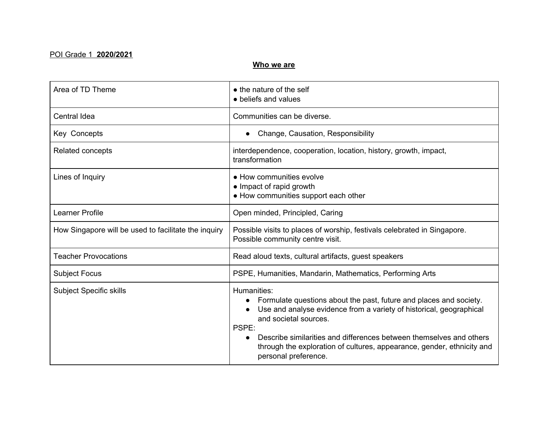#### POI Grade 1 **2020/2021**

#### **Who we are**

| Area of TD Theme                                     | • the nature of the self<br>• beliefs and values                                                                                                                                                                                                                                                                                                                    |
|------------------------------------------------------|---------------------------------------------------------------------------------------------------------------------------------------------------------------------------------------------------------------------------------------------------------------------------------------------------------------------------------------------------------------------|
| Central Idea                                         | Communities can be diverse.                                                                                                                                                                                                                                                                                                                                         |
| Key Concepts                                         | Change, Causation, Responsibility                                                                                                                                                                                                                                                                                                                                   |
| Related concepts                                     | interdependence, cooperation, location, history, growth, impact,<br>transformation                                                                                                                                                                                                                                                                                  |
| Lines of Inquiry                                     | • How communities evolve<br>• Impact of rapid growth<br>• How communities support each other                                                                                                                                                                                                                                                                        |
| Learner Profile                                      | Open minded, Principled, Caring                                                                                                                                                                                                                                                                                                                                     |
| How Singapore will be used to facilitate the inquiry | Possible visits to places of worship, festivals celebrated in Singapore.<br>Possible community centre visit.                                                                                                                                                                                                                                                        |
| <b>Teacher Provocations</b>                          | Read aloud texts, cultural artifacts, guest speakers                                                                                                                                                                                                                                                                                                                |
| <b>Subject Focus</b>                                 | PSPE, Humanities, Mandarin, Mathematics, Performing Arts                                                                                                                                                                                                                                                                                                            |
| <b>Subject Specific skills</b>                       | Humanities:<br>Formulate questions about the past, future and places and society.<br>Use and analyse evidence from a variety of historical, geographical<br>and societal sources.<br>PSPE:<br>Describe similarities and differences between themselves and others<br>through the exploration of cultures, appearance, gender, ethnicity and<br>personal preference. |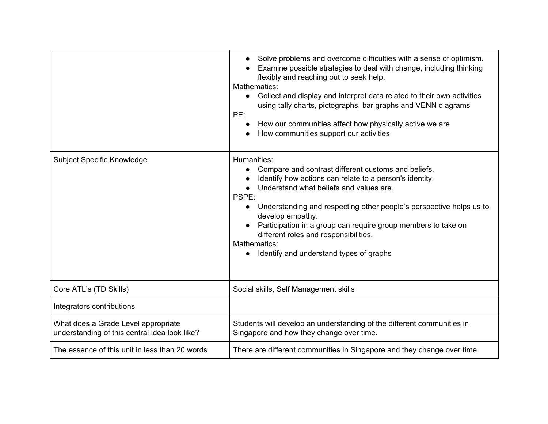|                                                                                      | Solve problems and overcome difficulties with a sense of optimism.<br>Examine possible strategies to deal with change, including thinking<br>flexibly and reaching out to seek help.<br>Mathematics:<br>Collect and display and interpret data related to their own activities<br>$\bullet$<br>using tally charts, pictographs, bar graphs and VENN diagrams<br>PE:<br>How our communities affect how physically active we are<br>How communities support our activities |
|--------------------------------------------------------------------------------------|--------------------------------------------------------------------------------------------------------------------------------------------------------------------------------------------------------------------------------------------------------------------------------------------------------------------------------------------------------------------------------------------------------------------------------------------------------------------------|
| Subject Specific Knowledge                                                           | Humanities:<br>Compare and contrast different customs and beliefs.<br>Identify how actions can relate to a person's identity.<br>Understand what beliefs and values are.<br>PSPE:<br>Understanding and respecting other people's perspective helps us to<br>$\bullet$<br>develop empathy.<br>Participation in a group can require group members to take on<br>different roles and responsibilities.<br>Mathematics:<br>Identify and understand types of graphs           |
| Core ATL's (TD Skills)                                                               | Social skills, Self Management skills                                                                                                                                                                                                                                                                                                                                                                                                                                    |
| Integrators contributions                                                            |                                                                                                                                                                                                                                                                                                                                                                                                                                                                          |
| What does a Grade Level appropriate<br>understanding of this central idea look like? | Students will develop an understanding of the different communities in<br>Singapore and how they change over time.                                                                                                                                                                                                                                                                                                                                                       |
| The essence of this unit in less than 20 words                                       | There are different communities in Singapore and they change over time.                                                                                                                                                                                                                                                                                                                                                                                                  |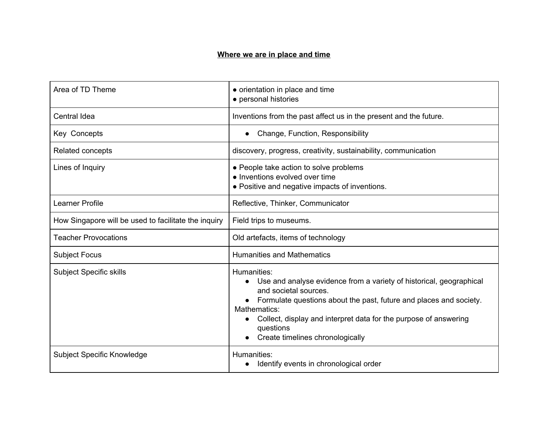## **Where we are in place and time**

| Area of TD Theme                                     | • orientation in place and time<br>• personal histories                                                                                                                                                                                                                                                                    |
|------------------------------------------------------|----------------------------------------------------------------------------------------------------------------------------------------------------------------------------------------------------------------------------------------------------------------------------------------------------------------------------|
| Central Idea                                         | Inventions from the past affect us in the present and the future.                                                                                                                                                                                                                                                          |
| Key Concepts                                         | Change, Function, Responsibility                                                                                                                                                                                                                                                                                           |
| Related concepts                                     | discovery, progress, creativity, sustainability, communication                                                                                                                                                                                                                                                             |
| Lines of Inquiry                                     | • People take action to solve problems<br>• Inventions evolved over time<br>• Positive and negative impacts of inventions.                                                                                                                                                                                                 |
| Learner Profile                                      | Reflective, Thinker, Communicator                                                                                                                                                                                                                                                                                          |
| How Singapore will be used to facilitate the inquiry | Field trips to museums.                                                                                                                                                                                                                                                                                                    |
| <b>Teacher Provocations</b>                          | Old artefacts, items of technology                                                                                                                                                                                                                                                                                         |
| <b>Subject Focus</b>                                 | <b>Humanities and Mathematics</b>                                                                                                                                                                                                                                                                                          |
| <b>Subject Specific skills</b>                       | Humanities:<br>• Use and analyse evidence from a variety of historical, geographical<br>and societal sources.<br>• Formulate questions about the past, future and places and society.<br>Mathematics:<br>Collect, display and interpret data for the purpose of answering<br>questions<br>Create timelines chronologically |
| Subject Specific Knowledge                           | Humanities:<br>Identify events in chronological order                                                                                                                                                                                                                                                                      |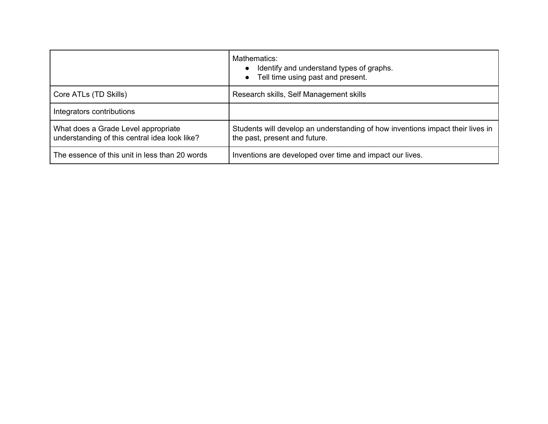|                                                                                      | Mathematics:<br>Identify and understand types of graphs.<br>Tell time using past and present.                   |
|--------------------------------------------------------------------------------------|-----------------------------------------------------------------------------------------------------------------|
| Core ATLs (TD Skills)                                                                | Research skills, Self Management skills                                                                         |
| Integrators contributions                                                            |                                                                                                                 |
| What does a Grade Level appropriate<br>understanding of this central idea look like? | Students will develop an understanding of how inventions impact their lives in<br>the past, present and future. |
| The essence of this unit in less than 20 words                                       | Inventions are developed over time and impact our lives.                                                        |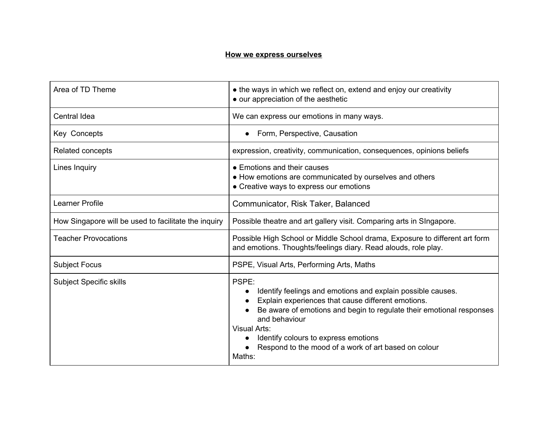### **How we express ourselves**

| Area of TD Theme                                     | • the ways in which we reflect on, extend and enjoy our creativity<br>• our appreciation of the aesthetic                                                                                                                                                                                                                                                         |
|------------------------------------------------------|-------------------------------------------------------------------------------------------------------------------------------------------------------------------------------------------------------------------------------------------------------------------------------------------------------------------------------------------------------------------|
| <b>Central Idea</b>                                  | We can express our emotions in many ways.                                                                                                                                                                                                                                                                                                                         |
| Key Concepts                                         | Form, Perspective, Causation                                                                                                                                                                                                                                                                                                                                      |
| <b>Related concepts</b>                              | expression, creativity, communication, consequences, opinions beliefs                                                                                                                                                                                                                                                                                             |
| Lines Inquiry                                        | • Emotions and their causes<br>• How emotions are communicated by ourselves and others<br>• Creative ways to express our emotions                                                                                                                                                                                                                                 |
| Learner Profile                                      | Communicator, Risk Taker, Balanced                                                                                                                                                                                                                                                                                                                                |
| How Singapore will be used to facilitate the inquiry | Possible theatre and art gallery visit. Comparing arts in SIngapore.                                                                                                                                                                                                                                                                                              |
| <b>Teacher Provocations</b>                          | Possible High School or Middle School drama, Exposure to different art form<br>and emotions. Thoughts/feelings diary. Read alouds, role play.                                                                                                                                                                                                                     |
| <b>Subject Focus</b>                                 | PSPE, Visual Arts, Performing Arts, Maths                                                                                                                                                                                                                                                                                                                         |
| <b>Subject Specific skills</b>                       | PSPE:<br>Identify feelings and emotions and explain possible causes.<br>$\bullet$<br>Explain experiences that cause different emotions.<br>Be aware of emotions and begin to regulate their emotional responses<br>and behaviour<br><b>Visual Arts:</b><br>Identify colours to express emotions<br>Respond to the mood of a work of art based on colour<br>Maths: |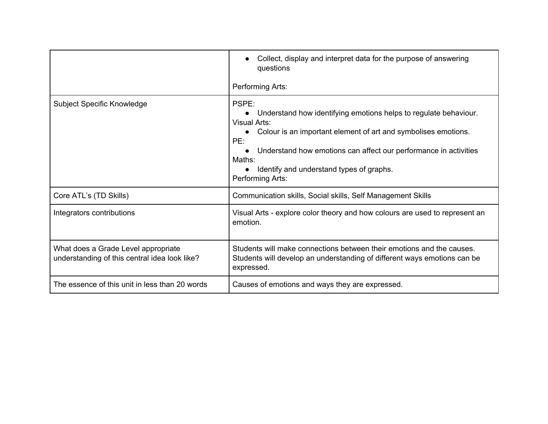|                                                                                      | Collect, display and interpret data for the purpose of answering<br>questions<br>Performing Arts:                                                                                                                                                                                                                |
|--------------------------------------------------------------------------------------|------------------------------------------------------------------------------------------------------------------------------------------------------------------------------------------------------------------------------------------------------------------------------------------------------------------|
| <b>Subject Specific Knowledge</b>                                                    | PSPE:<br>Understand how identifying emotions helps to regulate behaviour.<br>Visual Arts:<br>Colour is an important element of art and symbolises emotions.<br>PE:<br>Understand how emotions can affect our performance in activities<br>Maths:<br>Identify and understand types of graphs.<br>Performing Arts: |
| Core ATL's (TD Skills)                                                               | Communication skills, Social skills, Self Management Skills                                                                                                                                                                                                                                                      |
| Integrators contributions                                                            | Visual Arts - explore color theory and how colours are used to represent an<br>emotion.                                                                                                                                                                                                                          |
| What does a Grade Level appropriate<br>understanding of this central idea look like? | Students will make connections between their emotions and the causes.<br>Students will develop an understanding of different ways emotions can be<br>expressed.                                                                                                                                                  |
| The essence of this unit in less than 20 words                                       | Causes of emotions and ways they are expressed.                                                                                                                                                                                                                                                                  |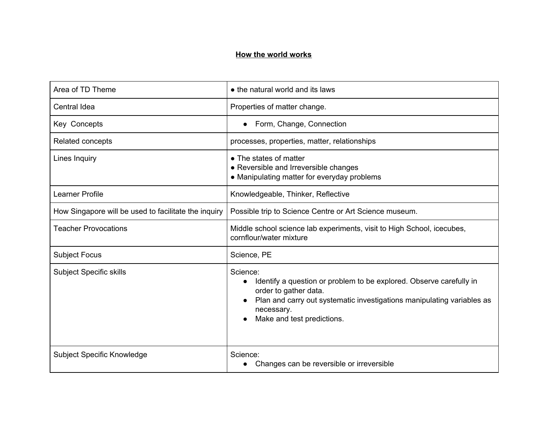#### **How the world works**

| Area of TD Theme                                     | • the natural world and its laws                                                                                                                                                                                                            |
|------------------------------------------------------|---------------------------------------------------------------------------------------------------------------------------------------------------------------------------------------------------------------------------------------------|
| Central Idea                                         | Properties of matter change.                                                                                                                                                                                                                |
| Key Concepts                                         | Form, Change, Connection                                                                                                                                                                                                                    |
| Related concepts                                     | processes, properties, matter, relationships                                                                                                                                                                                                |
| Lines Inquiry                                        | • The states of matter<br>• Reversible and Irreversible changes<br>• Manipulating matter for everyday problems                                                                                                                              |
| Learner Profile                                      | Knowledgeable, Thinker, Reflective                                                                                                                                                                                                          |
| How Singapore will be used to facilitate the inquiry | Possible trip to Science Centre or Art Science museum.                                                                                                                                                                                      |
| <b>Teacher Provocations</b>                          | Middle school science lab experiments, visit to High School, icecubes,<br>cornflour/water mixture                                                                                                                                           |
| <b>Subject Focus</b>                                 | Science, PE                                                                                                                                                                                                                                 |
| <b>Subject Specific skills</b>                       | Science:<br>Identify a question or problem to be explored. Observe carefully in<br>$\bullet$<br>order to gather data.<br>Plan and carry out systematic investigations manipulating variables as<br>necessary.<br>Make and test predictions. |
| Subject Specific Knowledge                           | Science:<br>Changes can be reversible or irreversible                                                                                                                                                                                       |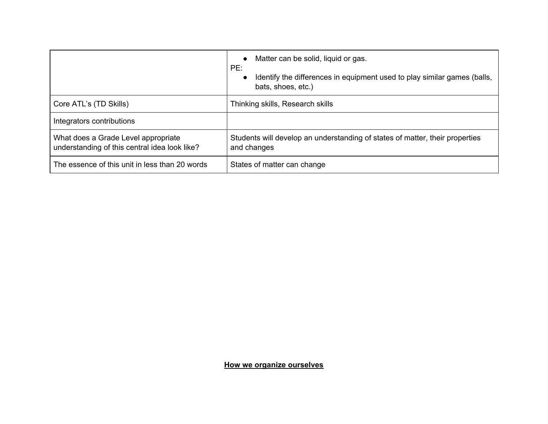|                                                                                      | Matter can be solid, liquid or gas.<br>$\bullet$<br>PE:<br>Identify the differences in equipment used to play similar games (balls,<br>bats, shoes, etc.) |
|--------------------------------------------------------------------------------------|-----------------------------------------------------------------------------------------------------------------------------------------------------------|
| Core ATL's (TD Skills)                                                               | Thinking skills, Research skills                                                                                                                          |
| Integrators contributions                                                            |                                                                                                                                                           |
| What does a Grade Level appropriate<br>understanding of this central idea look like? | Students will develop an understanding of states of matter, their properties<br>and changes                                                               |
| The essence of this unit in less than 20 words                                       | States of matter can change                                                                                                                               |

**How we organize ourselves**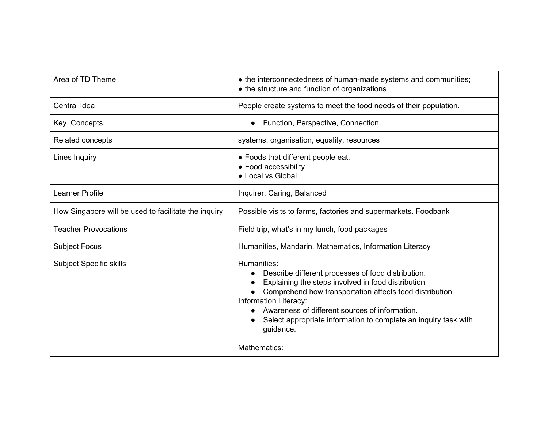| Area of TD Theme                                     | • the interconnectedness of human-made systems and communities;<br>• the structure and function of organizations                                                                                                                                                                                                                              |
|------------------------------------------------------|-----------------------------------------------------------------------------------------------------------------------------------------------------------------------------------------------------------------------------------------------------------------------------------------------------------------------------------------------|
| Central Idea                                         | People create systems to meet the food needs of their population.                                                                                                                                                                                                                                                                             |
| Key Concepts                                         | Function, Perspective, Connection                                                                                                                                                                                                                                                                                                             |
| Related concepts                                     | systems, organisation, equality, resources                                                                                                                                                                                                                                                                                                    |
| Lines Inquiry                                        | • Foods that different people eat.<br>• Food accessibility<br>• Local vs Global                                                                                                                                                                                                                                                               |
| <b>Learner Profile</b>                               | Inquirer, Caring, Balanced                                                                                                                                                                                                                                                                                                                    |
| How Singapore will be used to facilitate the inquiry | Possible visits to farms, factories and supermarkets. Foodbank                                                                                                                                                                                                                                                                                |
| <b>Teacher Provocations</b>                          | Field trip, what's in my lunch, food packages                                                                                                                                                                                                                                                                                                 |
| <b>Subject Focus</b>                                 | Humanities, Mandarin, Mathematics, Information Literacy                                                                                                                                                                                                                                                                                       |
| <b>Subject Specific skills</b>                       | Humanities:<br>Describe different processes of food distribution.<br>Explaining the steps involved in food distribution<br>Comprehend how transportation affects food distribution<br>Information Literacy:<br>Awareness of different sources of information.<br>Select appropriate information to complete an inquiry task with<br>guidance. |
|                                                      | Mathematics:                                                                                                                                                                                                                                                                                                                                  |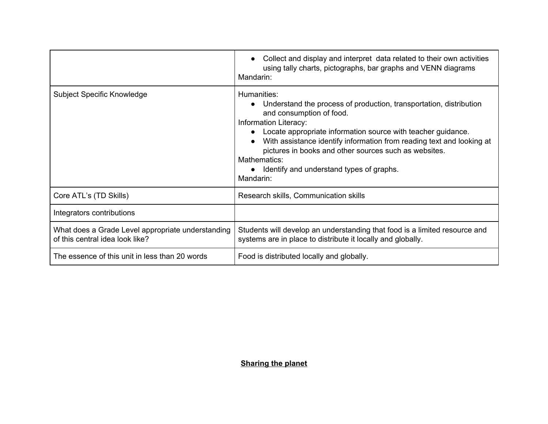|                                                                                      | Collect and display and interpret data related to their own activities<br>using tally charts, pictographs, bar graphs and VENN diagrams<br>Mandarin:                                                                                                                                                                                                                                                              |
|--------------------------------------------------------------------------------------|-------------------------------------------------------------------------------------------------------------------------------------------------------------------------------------------------------------------------------------------------------------------------------------------------------------------------------------------------------------------------------------------------------------------|
| <b>Subject Specific Knowledge</b>                                                    | Humanities:<br>Understand the process of production, transportation, distribution<br>and consumption of food.<br>Information Literacy:<br>Locate appropriate information source with teacher guidance.<br>With assistance identify information from reading text and looking at<br>pictures in books and other sources such as websites.<br>Mathematics:<br>Identify and understand types of graphs.<br>Mandarin: |
| Core ATL's (TD Skills)                                                               | Research skills, Communication skills                                                                                                                                                                                                                                                                                                                                                                             |
| Integrators contributions                                                            |                                                                                                                                                                                                                                                                                                                                                                                                                   |
| What does a Grade Level appropriate understanding<br>of this central idea look like? | Students will develop an understanding that food is a limited resource and<br>systems are in place to distribute it locally and globally.                                                                                                                                                                                                                                                                         |
| The essence of this unit in less than 20 words                                       | Food is distributed locally and globally.                                                                                                                                                                                                                                                                                                                                                                         |

# **Sharing the planet**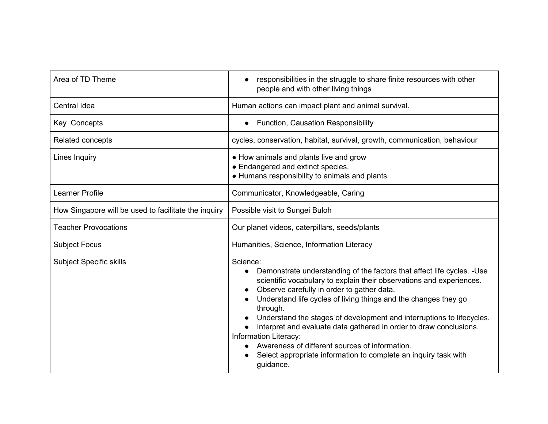| Area of TD Theme                                     | responsibilities in the struggle to share finite resources with other<br>people and with other living things                                                                                                                                                                                                                                                                                                                                                                                                                                                                                                    |
|------------------------------------------------------|-----------------------------------------------------------------------------------------------------------------------------------------------------------------------------------------------------------------------------------------------------------------------------------------------------------------------------------------------------------------------------------------------------------------------------------------------------------------------------------------------------------------------------------------------------------------------------------------------------------------|
| Central Idea                                         | Human actions can impact plant and animal survival.                                                                                                                                                                                                                                                                                                                                                                                                                                                                                                                                                             |
| Key Concepts                                         | <b>Function, Causation Responsibility</b>                                                                                                                                                                                                                                                                                                                                                                                                                                                                                                                                                                       |
| Related concepts                                     | cycles, conservation, habitat, survival, growth, communication, behaviour                                                                                                                                                                                                                                                                                                                                                                                                                                                                                                                                       |
| Lines Inquiry                                        | • How animals and plants live and grow<br>• Endangered and extinct species.<br>• Humans responsibility to animals and plants.                                                                                                                                                                                                                                                                                                                                                                                                                                                                                   |
| <b>Learner Profile</b>                               | Communicator, Knowledgeable, Caring                                                                                                                                                                                                                                                                                                                                                                                                                                                                                                                                                                             |
| How Singapore will be used to facilitate the inquiry | Possible visit to Sungei Buloh                                                                                                                                                                                                                                                                                                                                                                                                                                                                                                                                                                                  |
| <b>Teacher Provocations</b>                          | Our planet videos, caterpillars, seeds/plants                                                                                                                                                                                                                                                                                                                                                                                                                                                                                                                                                                   |
| <b>Subject Focus</b>                                 | Humanities, Science, Information Literacy                                                                                                                                                                                                                                                                                                                                                                                                                                                                                                                                                                       |
| <b>Subject Specific skills</b>                       | Science:<br>Demonstrate understanding of the factors that affect life cycles. - Use<br>$\bullet$<br>scientific vocabulary to explain their observations and experiences.<br>Observe carefully in order to gather data.<br>Understand life cycles of living things and the changes they go<br>through.<br>Understand the stages of development and interruptions to lifecycles.<br>Interpret and evaluate data gathered in order to draw conclusions.<br>Information Literacy:<br>Awareness of different sources of information.<br>Select appropriate information to complete an inquiry task with<br>guidance. |